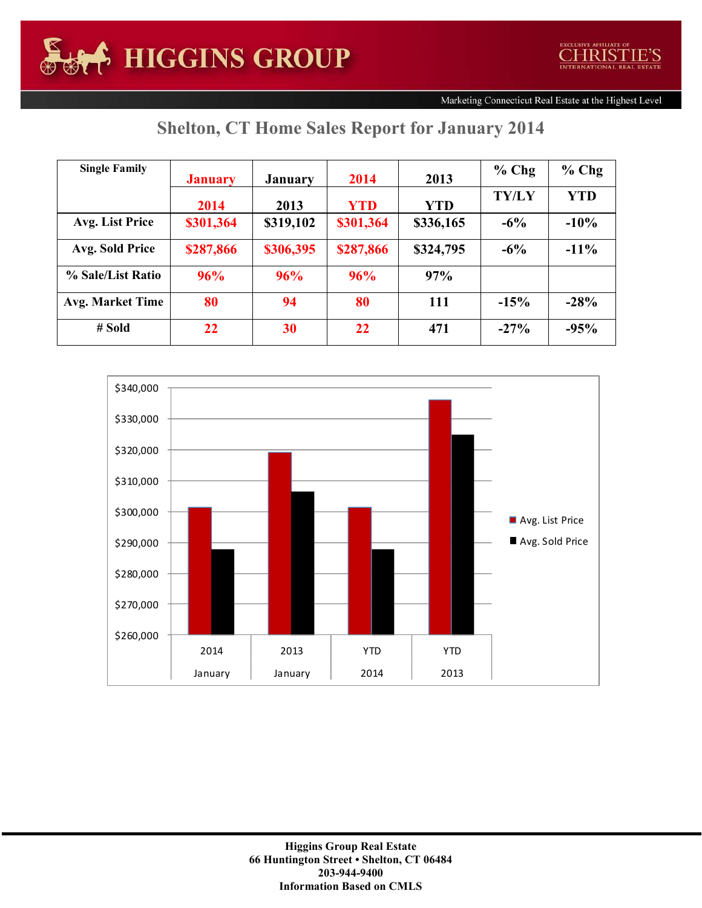|  |  | <b>Shelton, CT Home Sales Report for January 2014</b> |  |  |
|--|--|-------------------------------------------------------|--|--|
|--|--|-------------------------------------------------------|--|--|

| <b>Single Family</b>    |                |                |            |            |              |            |
|-------------------------|----------------|----------------|------------|------------|--------------|------------|
|                         | <b>January</b> | <b>January</b> | 2014       | 2013       | $%$ Chg      | $%$ Chg    |
|                         |                |                |            |            |              |            |
|                         | 2014           | 2013           | <b>YTD</b> | <b>YTD</b> | <b>TY/LY</b> | <b>YTD</b> |
|                         |                |                |            |            |              |            |
| Avg. List Price         | \$301,364      | \$319,102      | \$301,364  | \$336,165  | $-6\%$       | $-10%$     |
| <b>Avg. Sold Price</b>  | \$287,866      | \$306,395      | \$287,866  | \$324,795  | $-6\%$       | $-11\%$    |
| % Sale/List Ratio       | 96%            | 96%            | 96%        | 97%        |              |            |
| <b>Avg. Market Time</b> | 80             | 94             | 80         | 111        | $-15%$       | $-28%$     |
| # Sold                  | 22             | 30             | 22         | 471        | $-27%$       | $-95%$     |